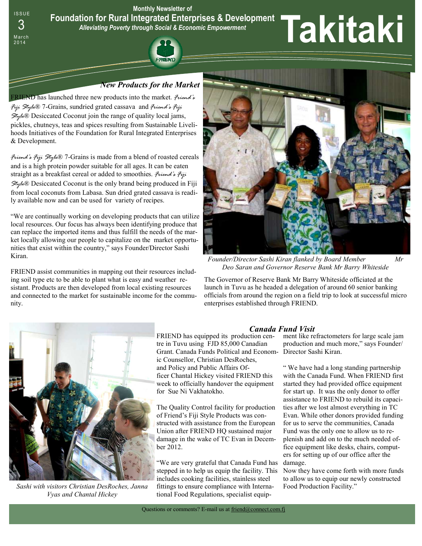

#### *New Products for the Market*

FRIEND has launched three new products into the market*. Friend's Fiji Style*® 7-Grains, sundried grated cassava and *Friend's Fiji Style*® Desiccated Coconut join the range of quality local jams, pickles, chutneys, teas and spices resulting from Sustainable Livelihoods Initiatives of the Foundation for Rural Integrated Enterprises & Development.

*Friend's Fiji Style*® 7-Grains is made from a blend of roasted cereals and is a high protein powder suitable for all ages. It can be eaten straight as a breakfast cereal or added to smoothies. *Friend's Fiji Style*® Desiccated Coconut is the only brand being produced in Fiji from local coconuts from Labasa. Sun dried grated cassava is readily available now and can be used for variety of recipes.

"We are continually working on developing products that can utilize local resources. Our focus has always been identifying produce that can replace the imported items and thus fulfill the needs of the market locally allowing our people to capitalize on the market opportunities that exist within the country," says Founder/Director Sashi Kiran.

FRIEND assist communities in mapping out their resources including soil type etc to be able to plant what is easy and weather resistant. Products are then developed from local existing resources and connected to the market for sustainable income for the community.



*Founder/Director Sashi Kiran flanked by Board Member Mr Deo Saran and Governor Reserve Bank Mr Barry Whiteside* 

The Governor of Reserve Bank Mr Barry Whiteside officiated at the launch in Tuvu as he headed a delegation of around 60 senior banking officials from around the region on a field trip to look at successful micro enterprises established through FRIEND.



*Sashi with visitors Christian DesRoches, Janna Vyas and Chantal Hickey* 

FRIEND has equipped its production centre in Tuvu using FJD 85,000 Canadian Grant. Canada Funds Political and Econom-Director Sashi Kiran. ic Counsellor, Christian DesRoches, and Policy and Public Affairs Officer Chantal Hickey visited FRIEND this week to officially handover the equipment for Sue Ni Vakhatokho.

The Quality Control facility for production of Friend's Fiji Style Products was constructed with assistance from the European Union after FRIEND HQ sustained major damage in the wake of TC Evan in December 2012.

"We are very grateful that Canada Fund has stepped in to help us equip the facility. This includes cooking facilities, stainless steel fittings to ensure compliance with International Food Regulations, specialist equip-

#### *Canada Fund Visit*

ment like refractometers for large scale jam production and much more," says Founder/

" We have had a long standing partnership with the Canada Fund. When FRIEND first started they had provided office equipment for start up. It was the only donor to offer assistance to FRIEND to rebuild its capacities after we lost almost everything in TC Evan. While other donors provided funding for us to serve the communities, Canada Fund was the only one to allow us to replenish and add on to the much needed office equipment like desks, chairs, computers for setting up of our office after the damage.

Now they have come forth with more funds to allow us to equip our newly constructed Food Production Facility."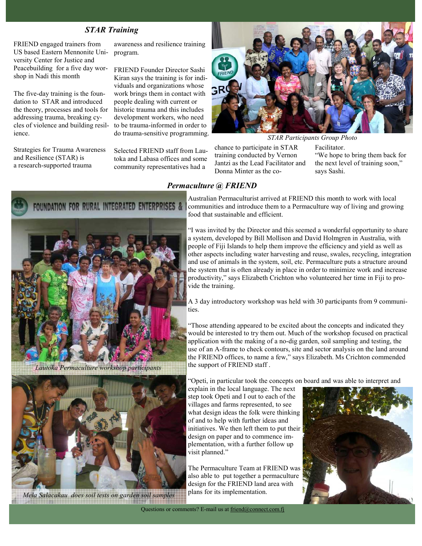### *STAR Training*

FRIEND engaged trainers from US based Eastern Mennonite University Center for Justice and Peacebuilding for a five day worshop in Nadi this month

The five-day training is the foundation to STAR and introduced the theory, processes and tools for addressing trauma, breaking cycles of violence and building resilience.

Strategies for Trauma Awareness and Resilience (STAR) is a research-supported trauma

awareness and resilience training program.

FRIEND Founder Director Sashi Kiran says the training is for individuals and organizations whose work brings them in contact with people dealing with current or historic trauma and this includes development workers, who need to be trauma-informed in order to do trauma-sensitive programming.

Selected FRIEND staff from Lautoka and Labasa offices and some community representatives had a



chance to participate in STAR training conducted by Vernon Facilitator. "We hope to bring them back for *STAR Participants Group Photo* 

Jantzi as the Lead Facilitator and

Donna Minter as the co-

*Permaculture @ FRIEND* 



*Lautoka Permaculture workshop participants* 



*Mela Salacakau does soil tests on garden soil samples* 

Australian Permaculturist arrived at FRIEND this month to work with local communities and introduce them to a Permaculture way of living and growing food that sustainable and efficient.

"I was invited by the Director and this seemed a wonderful opportunity to share a system, developed by Bill Mollison and David Holmgren in Australia, with people of Fiji Islands to help them improve the efficiency and yield as well as other aspects including water harvesting and reuse, swales, recycling, integration and use of animals in the system, soil, etc. Permaculture puts a structure around the system that is often already in place in order to minimize work and increase productivity," says Elizabeth Crichton who volunteered her time in Fiji to provide the training.

A 3 day introductory workshop was held with 30 participants from 9 communities.

"Those attending appeared to be excited about the concepts and indicated they would be interested to try them out. Much of the workshop focused on practical application with the making of a no-dig garden, soil sampling and testing, the use of an A-frame to check contours, site and sector analysis on the land around the FRIEND offices, to name a few," says Elizabeth. Ms Crichton commended the support of FRIEND staff .

"Opeti, in particular took the concepts on board and was able to interpret and

explain in the local language. The next step took Opeti and I out to each of the villages and farms represented, to see what design ideas the folk were thinking of and to help with further ideas and initiatives. We then left them to put their design on paper and to commence implementation, with a further follow up visit planned."

The Permaculture Team at FRIEND was also able to put together a permaculture design for the FRIEND land area with plans for its implementation.



the next level of training soon,"

says Sashi.

Questions or comments? E-mail us at friend@connect.com.fj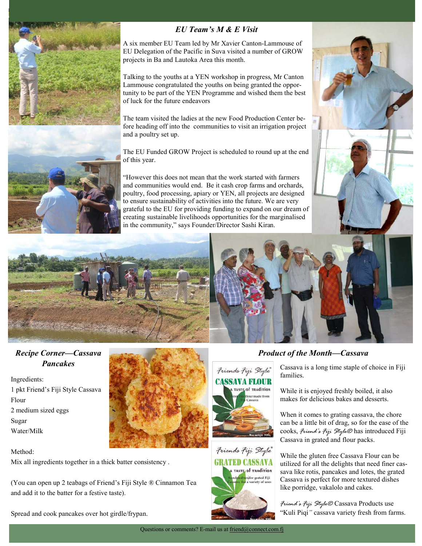

# *EU Team's M & E Visit*

A six member EU Team led by Mr Xavier Canton-Lammouse of EU Delegation of the Pacific in Suva visited a number of GROW projects in Ba and Lautoka Area this month.

Talking to the youths at a YEN workshop in progress, Mr Canton Lammouse congratulated the youths on being granted the opportunity to be part of the YEN Programme and wished them the best of luck for the future endeavors

The team visited the ladies at the new Food Production Center before heading off into the communities to visit an irrigation project and a poultry set up.

The EU Funded GROW Project is scheduled to round up at the end of this year.

"However this does not mean that the work started with farmers and communities would end. Be it cash crop farms and orchards, poultry, food processing, apiary or YEN, all projects are designed to ensure sustainability of activities into the future. We are very grateful to the EU for providing funding to expand on our dream of creating sustainable livelihoods opportunities for the marginalised in the community," says Founder/Director Sashi Kiran.





## *Recipe Corner—Cassava Pancakes*

Ingredients: 1 pkt Friend's Fiji Style Cassava Flour 2 medium sized eggs Sugar Water/Milk



Mix all ingredients together in a thick batter consistency .

(You can open up 2 teabags of Friend's Fiji Style ® Cinnamon Tea and add it to the batter for a festive taste).

Spread and cook pancakes over hot girdle/frypan.







## *Product of the Month—Cassava*

Cassava is a long time staple of choice in Fiji families.

While it is enjoyed freshly boiled, it also makes for delicious bakes and desserts.

When it comes to grating cassava, the chore can be a little bit of drag, so for the ease of the cooks, *Friend's Fiji Style®* has introduced Fiji Cassava in grated and flour packs.

While the gluten free Cassava Flour can be utilized for all the delights that need finer cassava like rotis, pancakes and lotes, the grated Cassava is perfect for more textured dishes like porridge, vakalolo and cakes.

*Friend's Fiji Style®* Cassava Products use "Kuli Piqi*"* cassava variety fresh from farms.